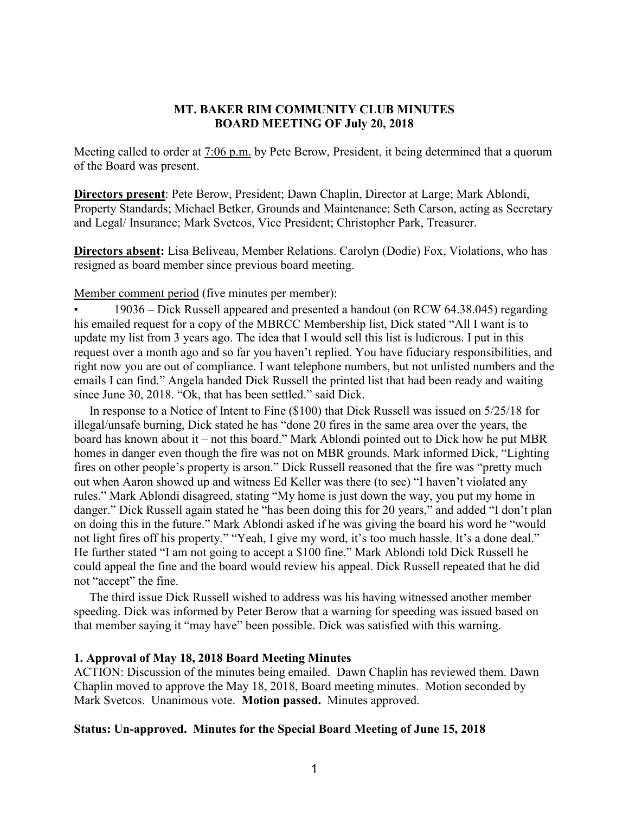### **MT. BAKER RIM COMMUNITY CLUB MINUTES BOARD MEETING OF July 20, 2018**

Meeting called to order at 7:06 p.m. by Pete Berow, President, it being determined that a quorum of the Board was present.

**Directors present**: Pete Berow, President; Dawn Chaplin, Director at Large; Mark Ablondi, Property Standards; Michael Betker, Grounds and Maintenance; Seth Carson, acting as Secretary and Legal/ Insurance; Mark Svetcos, Vice President; Christopher Park, Treasurer.

**Directors absent:** Lisa Beliveau, Member Relations. Carolyn (Dodie) Fox, Violations, who has resigned as board member since previous board meeting.

Member comment period (five minutes per member):

• 19036 – Dick Russell appeared and presented a handout (on RCW 64.38.045) regarding his emailed request for a copy of the MBRCC Membership list, Dick stated "All I want is to update my list from 3 years ago. The idea that I would sell this list is ludicrous. I put in this request over a month ago and so far you haven't replied. You have fiduciary responsibilities, and right now you are out of compliance. I want telephone numbers, but not unlisted numbers and the emails I can find." Angela handed Dick Russell the printed list that had been ready and waiting since June 30, 2018. "Ok, that has been settled." said Dick.

 In response to a Notice of Intent to Fine (\$100) that Dick Russell was issued on 5/25/18 for illegal/unsafe burning, Dick stated he has "done 20 fires in the same area over the years, the board has known about it – not this board." Mark Ablondi pointed out to Dick how he put MBR homes in danger even though the fire was not on MBR grounds. Mark informed Dick, "Lighting fires on other people's property is arson." Dick Russell reasoned that the fire was "pretty much out when Aaron showed up and witness Ed Keller was there (to see) "I haven't violated any rules." Mark Ablondi disagreed, stating "My home is just down the way, you put my home in danger." Dick Russell again stated he "has been doing this for 20 years," and added "I don't plan on doing this in the future." Mark Ablondi asked if he was giving the board his word he "would not light fires off his property." "Yeah, I give my word, it's too much hassle. It's a done deal." He further stated "I am not going to accept a \$100 fine." Mark Ablondi told Dick Russell he could appeal the fine and the board would review his appeal. Dick Russell repeated that he did not "accept" the fine.

 The third issue Dick Russell wished to address was his having witnessed another member speeding. Dick was informed by Peter Berow that a warning for speeding was issued based on that member saying it "may have" been possible. Dick was satisfied with this warning.

#### **1. Approval of May 18, 2018 Board Meeting Minutes**

ACTION: Discussion of the minutes being emailed. Dawn Chaplin has reviewed them. Dawn Chaplin moved to approve the May 18, 2018, Board meeting minutes. Motion seconded by Mark Svetcos. Unanimous vote. **Motion passed.** Minutes approved.

#### **Status: Un-approved. Minutes for the Special Board Meeting of June 15, 2018**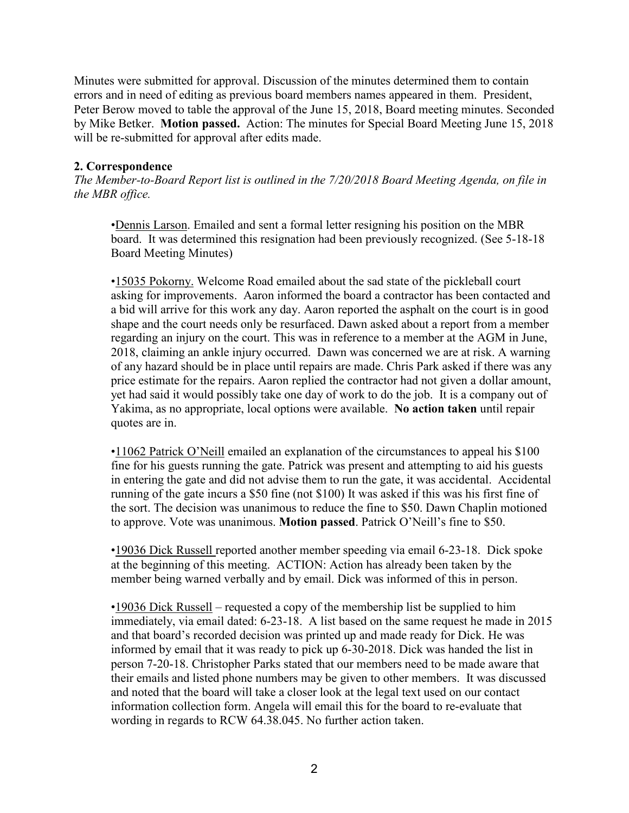Minutes were submitted for approval. Discussion of the minutes determined them to contain errors and in need of editing as previous board members names appeared in them. President, Peter Berow moved to table the approval of the June 15, 2018, Board meeting minutes. Seconded by Mike Betker. **Motion passed.** Action: The minutes for Special Board Meeting June 15, 2018 will be re-submitted for approval after edits made.

# **2. Correspondence**

*The Member-to-Board Report list is outlined in the 7/20/2018 Board Meeting Agenda, on file in the MBR office.*

•Dennis Larson. Emailed and sent a formal letter resigning his position on the MBR board. It was determined this resignation had been previously recognized. (See 5-18-18 Board Meeting Minutes)

•15035 Pokorny. Welcome Road emailed about the sad state of the pickleball court asking for improvements. Aaron informed the board a contractor has been contacted and a bid will arrive for this work any day. Aaron reported the asphalt on the court is in good shape and the court needs only be resurfaced. Dawn asked about a report from a member regarding an injury on the court. This was in reference to a member at the AGM in June, 2018, claiming an ankle injury occurred. Dawn was concerned we are at risk. A warning of any hazard should be in place until repairs are made. Chris Park asked if there was any price estimate for the repairs. Aaron replied the contractor had not given a dollar amount, yet had said it would possibly take one day of work to do the job. It is a company out of Yakima, as no appropriate, local options were available. **No action taken** until repair quotes are in.

•11062 Patrick O'Neill emailed an explanation of the circumstances to appeal his \$100 fine for his guests running the gate. Patrick was present and attempting to aid his guests in entering the gate and did not advise them to run the gate, it was accidental. Accidental running of the gate incurs a \$50 fine (not \$100) It was asked if this was his first fine of the sort. The decision was unanimous to reduce the fine to \$50. Dawn Chaplin motioned to approve. Vote was unanimous. **Motion passed**. Patrick O'Neill's fine to \$50.

•19036 Dick Russell reported another member speeding via email 6-23-18. Dick spoke at the beginning of this meeting. ACTION: Action has already been taken by the member being warned verbally and by email. Dick was informed of this in person.

•19036 Dick Russell – requested a copy of the membership list be supplied to him immediately, via email dated: 6-23-18. A list based on the same request he made in 2015 and that board's recorded decision was printed up and made ready for Dick. He was informed by email that it was ready to pick up 6-30-2018. Dick was handed the list in person 7-20-18. Christopher Parks stated that our members need to be made aware that their emails and listed phone numbers may be given to other members. It was discussed and noted that the board will take a closer look at the legal text used on our contact information collection form. Angela will email this for the board to re-evaluate that wording in regards to RCW 64.38.045. No further action taken.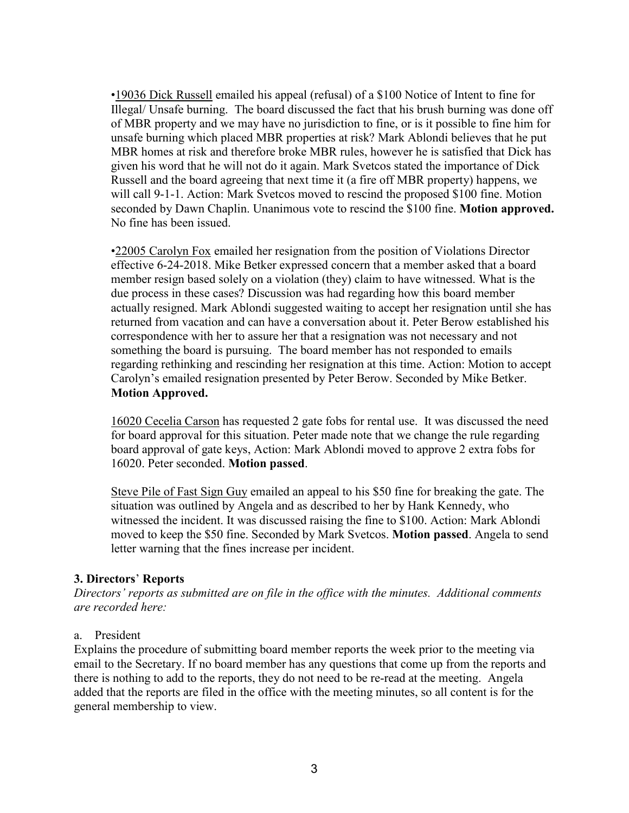•19036 Dick Russell emailed his appeal (refusal) of a \$100 Notice of Intent to fine for Illegal/ Unsafe burning. The board discussed the fact that his brush burning was done off of MBR property and we may have no jurisdiction to fine, or is it possible to fine him for unsafe burning which placed MBR properties at risk? Mark Ablondi believes that he put MBR homes at risk and therefore broke MBR rules, however he is satisfied that Dick has given his word that he will not do it again. Mark Svetcos stated the importance of Dick Russell and the board agreeing that next time it (a fire off MBR property) happens, we will call 9-1-1. Action: Mark Svetcos moved to rescind the proposed \$100 fine. Motion seconded by Dawn Chaplin. Unanimous vote to rescind the \$100 fine. **Motion approved.** No fine has been issued.

•22005 Carolyn Fox emailed her resignation from the position of Violations Director effective 6-24-2018. Mike Betker expressed concern that a member asked that a board member resign based solely on a violation (they) claim to have witnessed. What is the due process in these cases? Discussion was had regarding how this board member actually resigned. Mark Ablondi suggested waiting to accept her resignation until she has returned from vacation and can have a conversation about it. Peter Berow established his correspondence with her to assure her that a resignation was not necessary and not something the board is pursuing. The board member has not responded to emails regarding rethinking and rescinding her resignation at this time. Action: Motion to accept Carolyn's emailed resignation presented by Peter Berow. Seconded by Mike Betker. **Motion Approved.**

16020 Cecelia Carson has requested 2 gate fobs for rental use. It was discussed the need for board approval for this situation. Peter made note that we change the rule regarding board approval of gate keys, Action: Mark Ablondi moved to approve 2 extra fobs for 16020. Peter seconded. **Motion passed**.

Steve Pile of Fast Sign Guy emailed an appeal to his \$50 fine for breaking the gate. The situation was outlined by Angela and as described to her by Hank Kennedy, who witnessed the incident. It was discussed raising the fine to \$100. Action: Mark Ablondi moved to keep the \$50 fine. Seconded by Mark Svetcos. **Motion passed**. Angela to send letter warning that the fines increase per incident.

# **3. Directors**' **Reports**

*Directors' reports as submitted are on file in the office with the minutes. Additional comments are recorded here:*

## a. President

Explains the procedure of submitting board member reports the week prior to the meeting via email to the Secretary. If no board member has any questions that come up from the reports and there is nothing to add to the reports, they do not need to be re-read at the meeting. Angela added that the reports are filed in the office with the meeting minutes, so all content is for the general membership to view.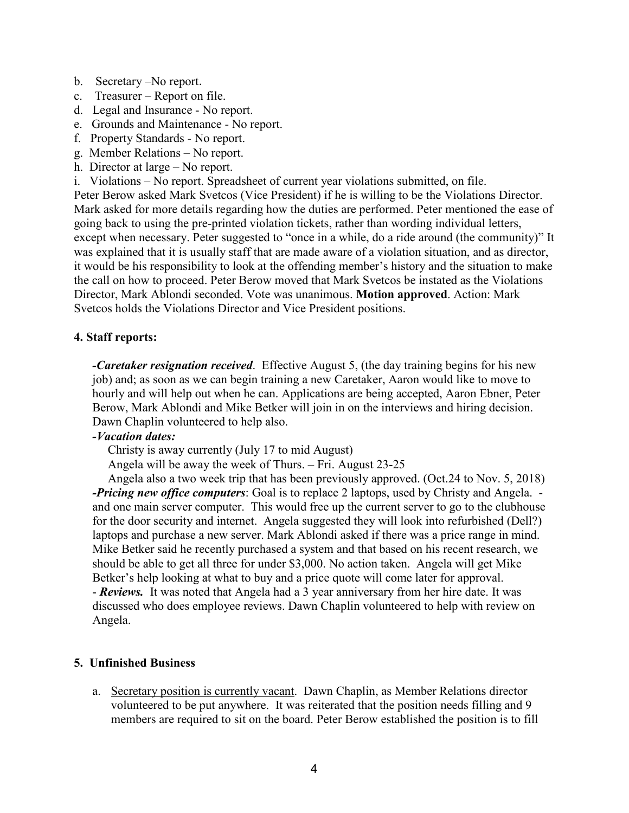- b. Secretary –No report.
- c. Treasurer Report on file.
- d. Legal and Insurance No report.
- e. Grounds and Maintenance No report.
- f. Property Standards No report.
- g. Member Relations No report.
- h. Director at large No report.
- i. Violations No report. Spreadsheet of current year violations submitted, on file.

Peter Berow asked Mark Svetcos (Vice President) if he is willing to be the Violations Director. Mark asked for more details regarding how the duties are performed. Peter mentioned the ease of going back to using the pre-printed violation tickets, rather than wording individual letters, except when necessary. Peter suggested to "once in a while, do a ride around (the community)" It was explained that it is usually staff that are made aware of a violation situation, and as director, it would be his responsibility to look at the offending member's history and the situation to make the call on how to proceed. Peter Berow moved that Mark Svetcos be instated as the Violations Director, Mark Ablondi seconded. Vote was unanimous. **Motion approved**. Action: Mark Svetcos holds the Violations Director and Vice President positions.

### **4. Staff reports:**

*-Caretaker resignation received*. Effective August 5, (the day training begins for his new job) and; as soon as we can begin training a new Caretaker, Aaron would like to move to hourly and will help out when he can. Applications are being accepted, Aaron Ebner, Peter Berow, Mark Ablondi and Mike Betker will join in on the interviews and hiring decision. Dawn Chaplin volunteered to help also.

## *-Vacation dates:*

Christy is away currently (July 17 to mid August)

Angela will be away the week of Thurs. – Fri. August 23-25

 Angela also a two week trip that has been previously approved. (Oct.24 to Nov. 5, 2018) *-Pricing new office computers*: Goal is to replace 2 laptops, used by Christy and Angela. and one main server computer. This would free up the current server to go to the clubhouse for the door security and internet. Angela suggested they will look into refurbished (Dell?) laptops and purchase a new server. Mark Ablondi asked if there was a price range in mind. Mike Betker said he recently purchased a system and that based on his recent research, we should be able to get all three for under \$3,000. No action taken. Angela will get Mike Betker's help looking at what to buy and a price quote will come later for approval. - *Reviews.* It was noted that Angela had a 3 year anniversary from her hire date. It was discussed who does employee reviews. Dawn Chaplin volunteered to help with review on Angela.

## **5. Unfinished Business**

a. Secretary position is currently vacant. Dawn Chaplin, as Member Relations director volunteered to be put anywhere. It was reiterated that the position needs filling and 9 members are required to sit on the board. Peter Berow established the position is to fill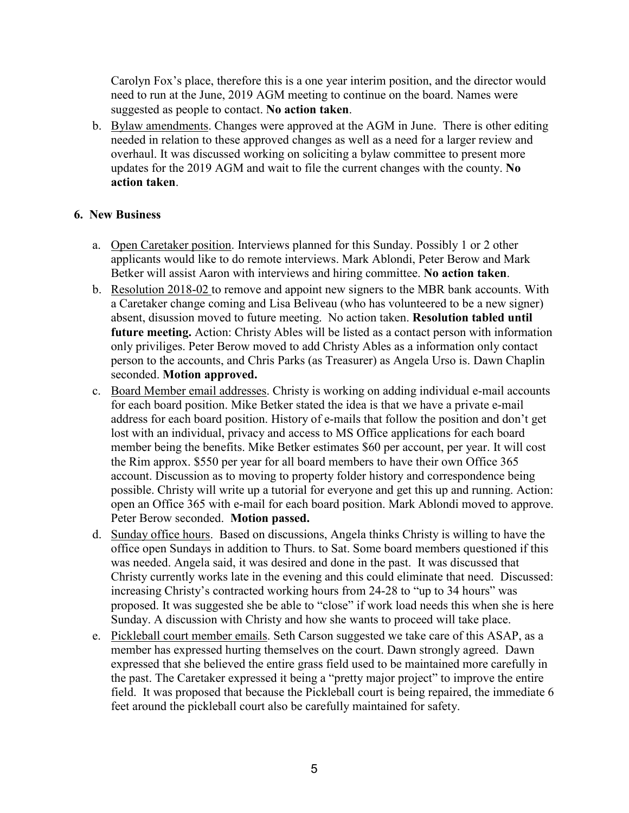Carolyn Fox's place, therefore this is a one year interim position, and the director would need to run at the June, 2019 AGM meeting to continue on the board. Names were suggested as people to contact. **No action taken**.

b. Bylaw amendments. Changes were approved at the AGM in June. There is other editing needed in relation to these approved changes as well as a need for a larger review and overhaul. It was discussed working on soliciting a bylaw committee to present more updates for the 2019 AGM and wait to file the current changes with the county. **No action taken**.

# **6. New Business**

- a. Open Caretaker position. Interviews planned for this Sunday. Possibly 1 or 2 other applicants would like to do remote interviews. Mark Ablondi, Peter Berow and Mark Betker will assist Aaron with interviews and hiring committee. **No action taken**.
- b. Resolution 2018-02 to remove and appoint new signers to the MBR bank accounts. With a Caretaker change coming and Lisa Beliveau (who has volunteered to be a new signer) absent, disussion moved to future meeting. No action taken. **Resolution tabled until future meeting.** Action: Christy Ables will be listed as a contact person with information only priviliges. Peter Berow moved to add Christy Ables as a information only contact person to the accounts, and Chris Parks (as Treasurer) as Angela Urso is. Dawn Chaplin seconded. **Motion approved.**
- c. Board Member email addresses. Christy is working on adding individual e-mail accounts for each board position. Mike Betker stated the idea is that we have a private e-mail address for each board position. History of e-mails that follow the position and don't get lost with an individual, privacy and access to MS Office applications for each board member being the benefits. Mike Betker estimates \$60 per account, per year. It will cost the Rim approx. \$550 per year for all board members to have their own Office 365 account. Discussion as to moving to property folder history and correspondence being possible. Christy will write up a tutorial for everyone and get this up and running. Action: open an Office 365 with e-mail for each board position. Mark Ablondi moved to approve. Peter Berow seconded. **Motion passed.**
- d. Sunday office hours. Based on discussions, Angela thinks Christy is willing to have the office open Sundays in addition to Thurs. to Sat. Some board members questioned if this was needed. Angela said, it was desired and done in the past. It was discussed that Christy currently works late in the evening and this could eliminate that need. Discussed: increasing Christy's contracted working hours from 24-28 to "up to 34 hours" was proposed. It was suggested she be able to "close" if work load needs this when she is here Sunday. A discussion with Christy and how she wants to proceed will take place.
- e. Pickleball court member emails. Seth Carson suggested we take care of this ASAP, as a member has expressed hurting themselves on the court. Dawn strongly agreed. Dawn expressed that she believed the entire grass field used to be maintained more carefully in the past. The Caretaker expressed it being a "pretty major project" to improve the entire field. It was proposed that because the Pickleball court is being repaired, the immediate 6 feet around the pickleball court also be carefully maintained for safety.